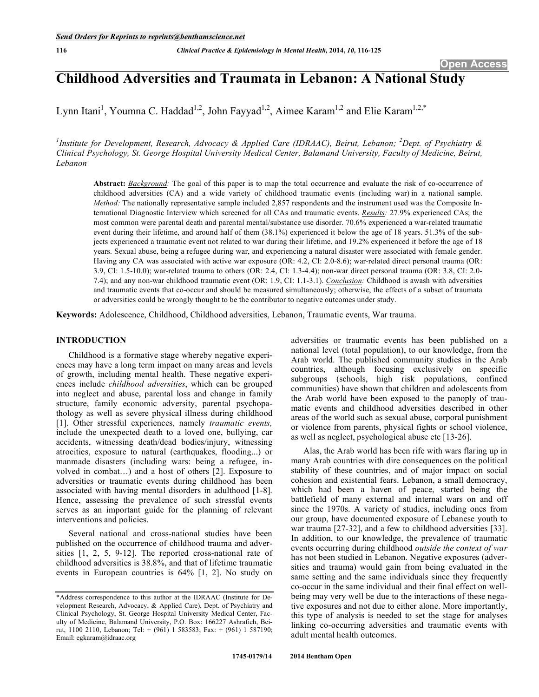# **Childhood Adversities and Traumata in Lebanon: A National Study**

Lynn Itani<sup>1</sup>, Youmna C. Haddad<sup>1,2</sup>, John Fayyad<sup>1,2</sup>, Aimee Karam<sup>1,2</sup> and Elie Karam<sup>1,2,\*</sup>

<sup>1</sup>Institute for Development, Research, Advocacy & Applied Care (IDRAAC), Beirut, Lebanon; <sup>2</sup>Dept. of Psychiatry & *Clinical Psychology, St. George Hospital University Medical Center, Balamand University, Faculty of Medicine, Beirut, Lebanon* 

**Abstract:** *Background:* The goal of this paper is to map the total occurrence and evaluate the risk of co-occurrence of childhood adversities (CA) and a wide variety of childhood traumatic events (including war) in a national sample. *Method:* The nationally representative sample included 2,857 respondents and the instrument used was the Composite International Diagnostic Interview which screened for all CAs and traumatic events. *Results:* 27.9% experienced CAs; the most common were parental death and parental mental/substance use disorder. 70.6% experienced a war-related traumatic event during their lifetime, and around half of them (38.1%) experienced it below the age of 18 years. 51.3% of the subjects experienced a traumatic event not related to war during their lifetime, and 19.2% experienced it before the age of 18 years. Sexual abuse, being a refugee during war, and experiencing a natural disaster were associated with female gender. Having any CA was associated with active war exposure (OR: 4.2, CI: 2.0-8.6); war-related direct personal trauma (OR: 3.9, CI: 1.5-10.0); war-related trauma to others (OR: 2.4, CI: 1.3-4.4); non-war direct personal trauma (OR: 3.8, CI: 2.0- 7.4); and any non-war childhood traumatic event (OR: 1.9, CI: 1.1-3.1). *Conclusion:* Childhood is awash with adversities and traumatic events that co-occur and should be measured simultaneously; otherwise, the effects of a subset of traumata or adversities could be wrongly thought to be the contributor to negative outcomes under study.

**Keywords:** Adolescence, Childhood, Childhood adversities, Lebanon, Traumatic events, War trauma.

# **INTRODUCTION**

Childhood is a formative stage whereby negative experiences may have a long term impact on many areas and levels of growth, including mental health. These negative experiences include *childhood adversities*, which can be grouped into neglect and abuse, parental loss and change in family structure, family economic adversity, parental psychopathology as well as severe physical illness during childhood [1]. Other stressful experiences, namely *traumatic events,* include the unexpected death to a loved one, bullying, car accidents, witnessing death/dead bodies/injury, witnessing atrocities, exposure to natural (earthquakes, flooding...) or manmade disasters (including wars: being a refugee, involved in combat…) and a host of others [2]. Exposure to adversities or traumatic events during childhood has been associated with having mental disorders in adulthood [1-8]. Hence, assessing the prevalence of such stressful events serves as an important guide for the planning of relevant interventions and policies.

Several national and cross-national studies have been published on the occurrence of childhood trauma and adversities [1, 2, 5, 9-12]. The reported cross-national rate of childhood adversities is 38.8%, and that of lifetime traumatic events in European countries is 64% [1, 2]. No study on

adversities or traumatic events has been published on a national level (total population), to our knowledge, from the Arab world. The published community studies in the Arab countries, although focusing exclusively on specific subgroups (schools, high risk populations, confined communities) have shown that children and adolescents from the Arab world have been exposed to the panoply of traumatic events and childhood adversities described in other areas of the world such as sexual abuse, corporal punishment or violence from parents, physical fights or school violence, as well as neglect, psychological abuse etc [13-26].

Alas, the Arab world has been rife with wars flaring up in many Arab countries with dire consequences on the political stability of these countries, and of major impact on social cohesion and existential fears. Lebanon, a small democracy, which had been a haven of peace, started being the battlefield of many external and internal wars on and off since the 1970s. A variety of studies, including ones from our group, have documented exposure of Lebanese youth to war trauma [27-32], and a few to childhood adversities [33]. In addition, to our knowledge, the prevalence of traumatic events occurring during childhood *outside the context of war* has not been studied in Lebanon. Negative exposures (adversities and trauma) would gain from being evaluated in the same setting and the same individuals since they frequently co-occur in the same individual and their final effect on wellbeing may very well be due to the interactions of these negative exposures and not due to either alone. More importantly, this type of analysis is needed to set the stage for analyses linking co-occurring adversities and traumatic events with adult mental health outcomes.

<sup>\*</sup>Address correspondence to this author at the IDRAAC (Institute for Development Research, Advocacy, & Applied Care), Dept. of Psychiatry and Clinical Psychology, St. George Hospital University Medical Center, Faculty of Medicine, Balamand University, P.O. Box: 166227 Ashrafieh, Beirut, 1100 2110, Lebanon; Tel: + (961) 1 583583; Fax: + (961) 1 587190; Email: egkaram@idraac.org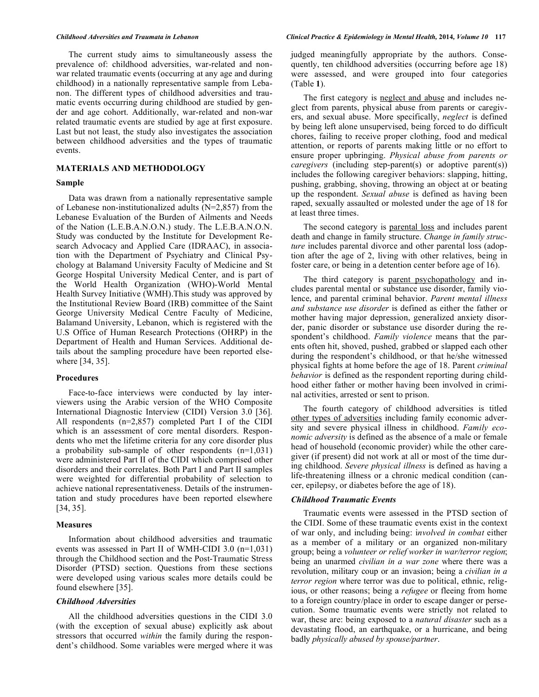The current study aims to simultaneously assess the prevalence of: childhood adversities, war-related and nonwar related traumatic events (occurring at any age and during childhood) in a nationally representative sample from Lebanon. The different types of childhood adversities and traumatic events occurring during childhood are studied by gender and age cohort. Additionally, war-related and non-war related traumatic events are studied by age at first exposure. Last but not least, the study also investigates the association between childhood adversities and the types of traumatic events.

### **MATERIALS AND METHODOLOGY**

#### **Sample**

Data was drawn from a nationally representative sample of Lebanese non-institutionalized adults (N=2,857) from the Lebanese Evaluation of the Burden of Ailments and Needs of the Nation (L.E.B.A.N.O.N.) study. The L.E.B.A.N.O.N. Study was conducted by the Institute for Development Research Advocacy and Applied Care (IDRAAC), in association with the Department of Psychiatry and Clinical Psychology at Balamand University Faculty of Medicine and St George Hospital University Medical Center, and is part of the World Health Organization (WHO)-World Mental Health Survey Initiative (WMH).This study was approved by the Institutional Review Board (IRB) committee of the Saint George University Medical Centre Faculty of Medicine, Balamand University, Lebanon, which is registered with the U.S Office of Human Research Protections (OHRP) in the Department of Health and Human Services. Additional details about the sampling procedure have been reported elsewhere [34, 35].

#### **Procedures**

Face-to-face interviews were conducted by lay interviewers using the Arabic version of the WHO Composite International Diagnostic Interview (CIDI) Version 3.0 [36]. All respondents (n=2,857) completed Part I of the CIDI which is an assessment of core mental disorders. Respondents who met the lifetime criteria for any core disorder plus a probability sub-sample of other respondents  $(n=1,031)$ were administered Part II of the CIDI which comprised other disorders and their correlates. Both Part I and Part II samples were weighted for differential probability of selection to achieve national representativeness. Details of the instrumentation and study procedures have been reported elsewhere [34, 35].

#### **Measures**

Information about childhood adversities and traumatic events was assessed in Part II of WMH-CIDI 3.0 (n=1,031) through the Childhood section and the Post-Traumatic Stress Disorder (PTSD) section. Questions from these sections were developed using various scales more details could be found elsewhere [35].

# *Childhood Adversities*

All the childhood adversities questions in the CIDI 3.0 (with the exception of sexual abuse) explicitly ask about stressors that occurred *within* the family during the respondent's childhood. Some variables were merged where it was judged meaningfully appropriate by the authors. Consequently, ten childhood adversities (occurring before age 18) were assessed, and were grouped into four categories (Table **1**).

The first category is neglect and abuse and includes neglect from parents, physical abuse from parents or caregivers, and sexual abuse. More specifically, *neglect* is defined by being left alone unsupervised, being forced to do difficult chores, failing to receive proper clothing, food and medical attention, or reports of parents making little or no effort to ensure proper upbringing. *Physical abuse from parents or caregivers* (including step-parent(s) or adoptive parent(s)) includes the following caregiver behaviors: slapping, hitting, pushing, grabbing, shoving, throwing an object at or beating up the respondent. *Sexual abuse* is defined as having been raped, sexually assaulted or molested under the age of 18 for at least three times.

The second category is parental loss and includes parent death and change in family structure. *Change in family structure* includes parental divorce and other parental loss (adoption after the age of 2, living with other relatives, being in foster care, or being in a detention center before age of 16).

The third category is parent psychopathology and includes parental mental or substance use disorder, family violence, and parental criminal behavior. *Parent mental illness and substance use disorder* is defined as either the father or mother having major depression, generalized anxiety disorder, panic disorder or substance use disorder during the respondent's childhood. *Family violence* means that the parents often hit, shoved, pushed, grabbed or slapped each other during the respondent's childhood, or that he/she witnessed physical fights at home before the age of 18. Parent *criminal behavior* is defined as the respondent reporting during childhood either father or mother having been involved in criminal activities, arrested or sent to prison.

The fourth category of childhood adversities is titled other types of adversities including family economic adversity and severe physical illness in childhood. *Family economic adversity* is defined as the absence of a male or female head of household (economic provider) while the other caregiver (if present) did not work at all or most of the time during childhood. *Severe physical illness* is defined as having a life-threatening illness or a chronic medical condition (cancer, epilepsy, or diabetes before the age of 18).

#### *Childhood Traumatic Events*

 Traumatic events were assessed in the PTSD section of the CIDI. Some of these traumatic events exist in the context of war only, and including being: i*nvolved in combat* either as a member of a military or an organized non-military group; being a *volunteer or relief worker in war/terror region*; being an unarmed *civilian in a war zone* where there was a revolution, military coup or an invasion; being a *civilian in a terror region* where terror was due to political, ethnic, religious, or other reasons; being a *refugee* or fleeing from home to a foreign country/place in order to escape danger or persecution. Some traumatic events were strictly not related to war, these are: being exposed to a *natural disaster* such as a devastating flood, an earthquake, or a hurricane, and being badly *physically abused by spouse/partner*.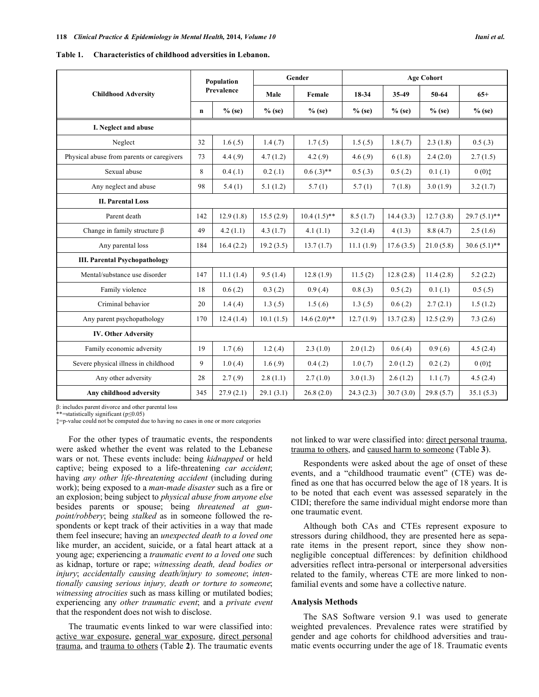| Table 1. | Characteristics of childhood adversities in Lebanon. |
|----------|------------------------------------------------------|
|          |                                                      |

| <b>Childhood Adversity</b>                |             | Population | Gender    |                | <b>Age Cohort</b> |           |           |                |
|-------------------------------------------|-------------|------------|-----------|----------------|-------------------|-----------|-----------|----------------|
|                                           |             | Prevalence | Male      | Female         | 18-34             | 35-49     | 50-64     | $65+$          |
|                                           | $\mathbf n$ | $%$ (se)   | $%$ (se)  | $%$ (se)       | $%$ (se)          | $%$ (se)  | $%$ (se)  | $%$ (se)       |
| I. Neglect and abuse                      |             |            |           |                |                   |           |           |                |
| Neglect                                   | 32          | 1.6(.5)    | 1.4(0.7)  | 1.7(0.5)       | 1.5(.5)           | 1.8(0.7)  | 2.3(1.8)  | 0.5(0.3)       |
| Physical abuse from parents or caregivers | 73          | 4.4(.9)    | 4.7(1.2)  | 4.2(.9)        | 4.6(.9)           | 6(1.8)    | 2.4(2.0)  | 2.7(1.5)       |
| Sexual abuse                              | 8           | 0.4(.1)    | 0.2(0.1)  | $0.6(.3)$ **   | 0.5(.3)           | 0.5(0.2)  | 0.1(0.1)  | (0, 0)         |
| Any neglect and abuse                     | 98          | 5.4(1)     | 5.1(1.2)  | 5.7(1)         | 5.7(1)            | 7(1.8)    | 3.0(1.9)  | 3.2(1.7)       |
| <b>II. Parental Loss</b>                  |             |            |           |                |                   |           |           |                |
| Parent death                              | 142         | 12.9(1.8)  | 15.5(2.9) | $10.4(1.5)$ ** | 8.5(1.7)          | 14.4(3.3) | 12.7(3.8) | $29.7(5.1)$ ** |
| Change in family structure $\beta$        | 49          | 4.2(1.1)   | 4.3(1.7)  | 4.1(1.1)       | 3.2(1.4)          | 4(1.3)    | 8.8(4.7)  | 2.5(1.6)       |
| Any parental loss                         | 184         | 16.4(2.2)  | 19.2(3.5) | 13.7(1.7)      | 11.1(1.9)         | 17.6(3.5) | 21.0(5.8) | $30.6(5.1)$ ** |
| <b>III. Parental Psychopathology</b>      |             |            |           |                |                   |           |           |                |
| Mental/substance use disorder             | 147         | 11.1(1.4)  | 9.5(1.4)  | 12.8(1.9)      | 11.5(2)           | 12.8(2.8) | 11.4(2.8) | 5.2(2.2)       |
| Family violence                           | 18          | 0.6(0.2)   | 0.3(0.2)  | 0.9(0.4)       | 0.8(0.3)          | 0.5(0.2)  | 0.1(0.1)  | 0.5(0.5)       |
| Criminal behavior                         | 20          | 1.4(.4)    | 1.3(.5)   | 1.5(0.6)       | 1.3(.5)           | 0.6(0.2)  | 2.7(2.1)  | 1.5(1.2)       |
| Any parent psychopathology                | 170         | 12.4(1.4)  | 10.1(1.5) | $14.6(2.0)**$  | 12.7(1.9)         | 13.7(2.8) | 12.5(2.9) | 7.3(2.6)       |
| <b>IV. Other Adversity</b>                |             |            |           |                |                   |           |           |                |
| Family economic adversity                 | 19          | 1.7(0.6)   | 1.2(4)    | 2.3(1.0)       | 2.0(1.2)          | 0.6(0.4)  | 0.9(0.6)  | 4.5(2.4)       |
| Severe physical illness in childhood      | 9           | 1.0(4)     | 1.6(0.9)  | 0.4(0.2)       | 1.0(0.7)          | 2.0(1.2)  | 0.2(0.2)  | (0, 0)         |
| Any other adversity                       | 28          | 2.7(.9)    | 2.8(1.1)  | 2.7(1.0)       | 3.0(1.3)          | 2.6(1.2)  | 1.1(.7)   | 4.5(2.4)       |
| Any childhood adversity                   | 345         | 27.9(2.1)  | 29.1(3.1) | 26.8(2.0)      | 24.3(2.3)         | 30.7(3.0) | 29.8(5.7) | 35.1(5.3)      |

-: includes parent divorce and other parental loss

\*=statistically significant  $(p \le 0.05)$ 

‡=p-value could not be computed due to having no cases in one or more categories

For the other types of traumatic events, the respondents were asked whether the event was related to the Lebanese wars or not. These events include: being *kidnapped* or held captive; being exposed to a life-threatening *car accident*; having *any other life-threatening accident* (including during work); being exposed to a *man-made disaster* such as a fire or an explosion; being subject to *physical abuse from anyone else* besides parents or spouse; being *threatened at gunpoint/robbery*; being *stalked* as in someone followed the respondents or kept track of their activities in a way that made them feel insecure; having an *unexpected death to a loved one* like murder, an accident, suicide, or a fatal heart attack at a young age; experiencing a *traumatic event to a loved one* such as kidnap, torture or rape; *witnessing death, dead bodies or injury*; *accidentally causing death/injury to someone*; *intentionally causing serious injury, death or torture to someone*; *witnessing atrocities* such as mass killing or mutilated bodies; experiencing any *other traumatic event*; and a *private event* that the respondent does not wish to disclose.

The traumatic events linked to war were classified into: active war exposure, general war exposure, direct personal trauma, and trauma to others (Table **2**). The traumatic events

not linked to war were classified into: direct personal trauma, trauma to others, and caused harm to someone (Table **3**).

Respondents were asked about the age of onset of these events, and a "childhood traumatic event" (CTE) was defined as one that has occurred below the age of 18 years. It is to be noted that each event was assessed separately in the CIDI; therefore the same individual might endorse more than one traumatic event.

Although both CAs and CTEs represent exposure to stressors during childhood, they are presented here as separate items in the present report, since they show nonnegligible conceptual differences: by definition childhood adversities reflect intra-personal or interpersonal adversities related to the family, whereas CTE are more linked to nonfamilial events and some have a collective nature.

#### **Analysis Methods**

The SAS Software version 9.1 was used to generate weighted prevalences. Prevalence rates were stratified by gender and age cohorts for childhood adversities and traumatic events occurring under the age of 18. Traumatic events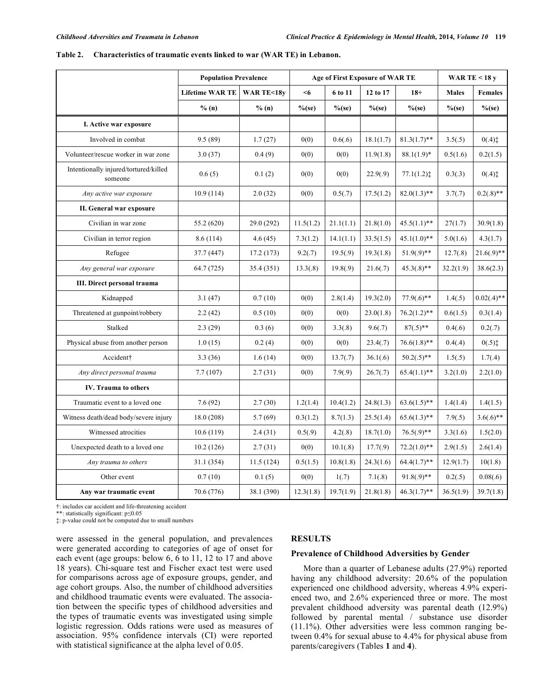|                                                  | <b>Population Prevalence</b> |                      | <b>Age of First Exposure of WAR TE</b> | WAR TE < $18y$ |           |                |              |                |
|--------------------------------------------------|------------------------------|----------------------|----------------------------------------|----------------|-----------|----------------|--------------|----------------|
|                                                  | <b>Lifetime WAR TE</b>       | <b>WAR TE&lt;18y</b> | $6$                                    | 6 to 11        | 12 to 17  | $18+$          | <b>Males</b> | <b>Females</b> |
|                                                  | % (n)                        | % (n)                | $%$ (se)                               | $%$ (se)       | $%$ (se)  | $\%$ (se)      | $%$ (se)     | $\%$ (se)      |
| I. Active war exposure                           |                              |                      |                                        |                |           |                |              |                |
| Involved in combat                               | 9.5(89)                      | 1.7(27)              | 0(0)                                   | 0.6(.6)        | 18.1(1.7) | $81.3(1.7)$ ** | 3.5(.5)      | $0(.4)$ ‡      |
| Volunteer/rescue worker in war zone              | 3.0(37)                      | 0.4(9)               | 0(0)                                   | 0(0)           | 11.9(1.8) | $88.1(1.9)^*$  | 0.5(1.6)     | 0.2(1.5)       |
| Intentionally injured/tortured/killed<br>someone | 0.6(5)                       | 0.1(2)               | 0(0)                                   | 0(0)           | 22.9(.9)  | 77.1(1.2)      | 0.3(.3)      | $0(.4)$ ‡      |
| Any active war exposure                          | 10.9(114)                    | 2.0(32)              | 0(0)                                   | 0.5(.7)        | 17.5(1.2) | $82.0(1.3)$ ** | 3.7(.7)      | $0.2(.8)$ **   |
| II. General war exposure                         |                              |                      |                                        |                |           |                |              |                |
| Civilian in war zone                             | 55.2 (620)                   | 29.0 (292)           | 11.5(1.2)                              | 21.1(1.1)      | 21.8(1.0) | $45.5(1.1)$ ** | 27(1.7)      | 30.9(1.8)      |
| Civilian in terror region                        | 8.6(114)                     | 4.6(45)              | 7.3(1.2)                               | 14.1(1.1)      | 33.5(1.5) | $45.1(1.0)**$  | 5.0(1.6)     | 4.3(1.7)       |
| Refugee                                          | 37.7 (447)                   | 17.2(173)            | 9.2(.7)                                | 19.5(.9)       | 19.3(1.8) | $51.9(.9)$ **  | 12.7(.8)     | $21.6(.9)$ **  |
| Any general war exposure                         | 64.7 (725)                   | 35.4 (351)           | 13.3(0.8)                              | 19.8(.9)       | 21.6(.7)  | $45.3(.8)$ **  | 32.2(1.9)    | 38.6(2.3)      |
| <b>III.</b> Direct personal trauma               |                              |                      |                                        |                |           |                |              |                |
| Kidnapped                                        | 3.1(47)                      | 0.7(10)              | 0(0)                                   | 2.8(1.4)       | 19.3(2.0) | $77.9(.6)$ **  | 1.4(.5)      | $0.02(.4)$ **  |
| Threatened at gunpoint/robbery                   | 2.2(42)                      | 0.5(10)              | 0(0)                                   | 0(0)           | 23.0(1.8) | $76.2(1.2)$ ** | 0.6(1.5)     | 0.3(1.4)       |
| Stalked                                          | 2.3(29)                      | 0.3(6)               | 0(0)                                   | 3.3(.8)        | 9.6(.7)   | $87(.5)**$     | 0.4(.6)      | 0.2(.7)        |
| Physical abuse from another person               | 1.0(15)                      | 0.2(4)               | 0(0)                                   | 0(0)           | 23.4(.7)  | $76.6(1.8)$ ** | 0.4(.4)      | $0(.5)$ ‡      |
| Accident†                                        | 3.3(36)                      | 1.6(14)              | 0(0)                                   | 13.7(0.7)      | 36.1(.6)  | $50.2(.5)$ **  | 1.5(.5)      | 1.7(.4)        |
| Any direct personal trauma                       | 7.7(107)                     | 2.7(31)              | 0(0)                                   | 7.9(.9)        | 26.7(.7)  | $65.4(1.1)$ ** | 3.2(1.0)     | 2.2(1.0)       |
| <b>IV.</b> Trauma to others                      |                              |                      |                                        |                |           |                |              |                |
| Traumatic event to a loved one                   | 7.6(92)                      | 2.7(30)              | 1.2(1.4)                               | 10.4(1.2)      | 24.8(1.3) | $63.6(1.5)$ ** | 1.4(1.4)     | 1.4(1.5)       |
| Witness death/dead body/severe injury            | 18.0(208)                    | 5.7(69)              | 0.3(1.2)                               | 8.7(1.3)       | 25.5(1.4) | $65.6(1.3)$ ** | 7.9(.5)      | $3.6(.6)$ **   |
| Witnessed atrocities                             | 10.6(119)                    | 2.4(31)              | 0.5(.9)                                | 4.2(.8)        | 18.7(1.0) | $76.5(.9)$ **  | 3.3(1.6)     | 1.5(2.0)       |
| Unexpected death to a loved one                  | 10.2(126)                    | 2.7(31)              | 0(0)                                   | 10.1(.8)       | 17.7(.9)  | $72.2(1.0)**$  | 2.9(1.5)     | 2.6(1.4)       |
| Any trauma to others                             | 31.1 (354)                   | 11.5(124)            | 0.5(1.5)                               | 10.8(1.8)      | 24.3(1.6) | $64.4(1.7)$ ** | 12.9(1.7)    | 10(1.8)        |
| Other event                                      | 0.7(10)                      | 0.1(5)               | 0(0)                                   | 1(.7)          | 7.1(.8)   | $91.8(.9)**$   | 0.2(.5)      | 0.08(.6)       |
| Any war traumatic event                          | 70.6 (776)                   | 38.1 (390)           | 12.3(1.8)                              | 19.7(1.9)      | 21.8(1.8) | $46.3(1.7)$ ** | 36.5(1.9)    | 39.7(1.8)      |

**Table 2. Characteristics of traumatic events linked to war (WAR TE) in Lebanon.** 

†: includes car accident and life-threatening accident

\*\*: statistically significant: p $\leq$ 0.05

‡: p-value could not be computed due to small numbers

were assessed in the general population, and prevalences were generated according to categories of age of onset for each event (age groups: below 6, 6 to 11, 12 to 17 and above 18 years). Chi-square test and Fischer exact test were used for comparisons across age of exposure groups, gender, and age cohort groups. Also, the number of childhood adversities and childhood traumatic events were evaluated. The association between the specific types of childhood adversities and the types of traumatic events was investigated using simple logistic regression. Odds rations were used as measures of association. 95% confidence intervals (CI) were reported with statistical significance at the alpha level of 0.05.

# **RESULTS**

#### **Prevalence of Childhood Adversities by Gender**

More than a quarter of Lebanese adults (27.9%) reported having any childhood adversity: 20.6% of the population experienced one childhood adversity, whereas 4.9% experienced two, and 2.6% experienced three or more. The most prevalent childhood adversity was parental death (12.9%) followed by parental mental / substance use disorder (11.1%). Other adversities were less common ranging between 0.4% for sexual abuse to 4.4% for physical abuse from parents/caregivers (Tables **1** and **4**).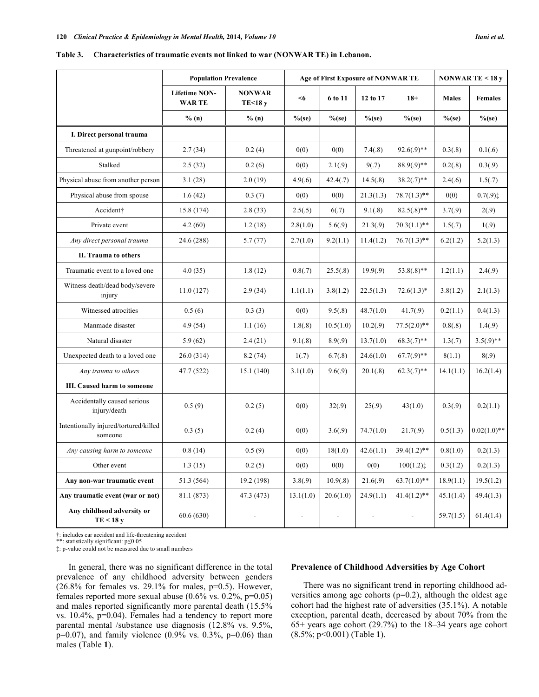|                                                  | <b>Population Prevalence</b>         |                          |                          | Age of First Exposure of NONWAR TE | NONWAR TE < $18y$ |                |              |                |
|--------------------------------------------------|--------------------------------------|--------------------------|--------------------------|------------------------------------|-------------------|----------------|--------------|----------------|
|                                                  | <b>Lifetime NON-</b><br><b>WARTE</b> | <b>NONWAR</b><br>TE<18 y | $6$                      | 6 to 11                            | 12 to 17          | $18+$          | <b>Males</b> | <b>Females</b> |
|                                                  | % (n)                                | % (n)                    | $%$ (se)                 | $%$ (se)                           | $%$ (se)          | $%$ (se)       | $%$ (se)     | $%$ (se)       |
| I. Direct personal trauma                        |                                      |                          |                          |                                    |                   |                |              |                |
| Threatened at gunpoint/robbery                   | 2.7(34)                              | 0.2(4)                   | 0(0)                     | 0(0)                               | 7.4(.8)           | $92.6(.9)$ **  | 0.3(.8)      | 0.1(.6)        |
| Stalked                                          | 2.5(32)                              | 0.2(6)                   | 0(0)                     | 2.1(.9)                            | 9(.7)             | $88.9(.9)**$   | 0.2(.8)      | 0.3(.9)        |
| Physical abuse from another person               | 3.1(28)                              | 2.0(19)                  | 4.9(.6)                  | 42.4(.7)                           | 14.5(.8)          | $38.2(.7)$ **  | 2.4(.6)      | 1.5(.7)        |
| Physical abuse from spouse                       | 1.6(42)                              | 0.3(7)                   | 0(0)                     | 0(0)                               | 21.3(1.3)         | $78.7(1.3)$ ** | 0(0)         | 0.7(.9)        |
| Accident†                                        | 15.8 (174)                           | 2.8(33)                  | 2.5(.5)                  | 6(.7)                              | 9.1(.8)           | $82.5(.8)$ **  | 3.7(.9)      | 2(.9)          |
| Private event                                    | 4.2(60)                              | 1.2(18)                  | 2.8(1.0)                 | 5.6(.9)                            | 21.3(.9)          | $70.3(1.1)$ ** | 1.5(.7)      | 1(.9)          |
| Any direct personal trauma                       | 24.6 (288)                           | 5.7(77)                  | 2.7(1.0)                 | 9.2(1.1)                           | 11.4(1.2)         | $76.7(1.3)$ ** | 6.2(1.2)     | 5.2(1.3)       |
| II. Trauma to others                             |                                      |                          |                          |                                    |                   |                |              |                |
| Traumatic event to a loved one                   | 4.0(35)                              | 1.8(12)                  | 0.8(.7)                  | 25.5(.8)                           | 19.9(.9)          | $53.8(.8)$ **  | 1.2(1.1)     | 2.4(.9)        |
| Witness death/dead body/severe<br>injury         | 11.0(127)                            | 2.9(34)                  | 1.1(1.1)                 | 3.8(1.2)                           | 22.5(1.3)         | $72.6(1.3)^*$  | 3.8(1.2)     | 2.1(1.3)       |
| Witnessed atrocities                             | 0.5(6)                               | 0.3(3)                   | 0(0)                     | 9.5(.8)                            | 48.7(1.0)         | 41.7(.9)       | 0.2(1.1)     | 0.4(1.3)       |
| Manmade disaster                                 | 4.9(54)                              | 1.1(16)                  | 1.8(.8)                  | 10.5(1.0)                          | 10.2(.9)          | $77.5(2.0)$ ** | 0.8(.8)      | 1.4(.9)        |
| Natural disaster                                 | 5.9(62)                              | 2.4(21)                  | 9.1(.8)                  | 8.9(.9)                            | 13.7(1.0)         | $68.3(.7)**$   | 1.3(.7)      | $3.5(.9)$ **   |
| Unexpected death to a loved one                  | 26.0(314)                            | 8.2(74)                  | 1(.7)                    | 6.7(.8)                            | 24.6(1.0)         | $67.7(.9)**$   | 8(1.1)       | 8(.9)          |
| Any trauma to others                             | 47.7 (522)                           | 15.1 (140)               | 3.1(1.0)                 | 9.6(.9)                            | 20.1(.8)          | $62.3(.7)$ **  | 14.1(1.1)    | 16.2(1.4)      |
| III. Caused harm to someone                      |                                      |                          |                          |                                    |                   |                |              |                |
| Accidentally caused serious<br>injury/death      | 0.5(9)                               | 0.2(5)                   | 0(0)                     | 32(.9)                             | 25(.9)            | 43(1.0)        | 0.3(.9)      | 0.2(1.1)       |
| Intentionally injured/tortured/killed<br>someone | 0.3(5)                               | 0.2(4)                   | 0(0)                     | 3.6(.9)                            | 74.7(1.0)         | 21.7(.9)       | 0.5(1.3)     | $0.02(1.0)**$  |
| Any causing harm to someone                      | 0.8(14)                              | 0.5(9)                   | 0(0)                     | 18(1.0)                            | 42.6(1.1)         | $39.4(1.2)$ ** | 0.8(1.0)     | 0.2(1.3)       |
| Other event                                      | 1.3(15)                              | 0.2(5)                   | 0(0)                     | 0(0)                               | 0(0)              | 100(1.2)       | 0.3(1.2)     | 0.2(1.3)       |
| Any non-war traumatic event                      | 51.3 (564)                           | 19.2 (198)               | 3.8(.9)                  | 10.9(.8)                           | 21.6(.9)          | $63.7(1.0)$ ** | 18.9(1.1)    | 19.5(1.2)      |
| Any traumatic event (war or not)                 | 81.1 (873)                           | 47.3 (473)               | 13.1(1.0)                | 20.6(1.0)                          | 24.9(1.1)         | $41.4(1.2)$ ** | 45.1(1.4)    | 49.4(1.3)      |
| Any childhood adversity or<br>TE < 18 y          | 60.6(630)                            |                          | $\overline{\phantom{a}}$ |                                    |                   |                | 59.7(1.5)    | 61.4(1.4)      |

**Table 3. Characteristics of traumatic events not linked to war (NONWAR TE) in Lebanon.** 

†: includes car accident and life-threatening accident

\*\*: statistically significant: p $\leq$ 0.05

‡: p-value could not be measured due to small numbers

In general, there was no significant difference in the total prevalence of any childhood adversity between genders (26.8% for females vs. 29.1% for males,  $p=0.5$ ). However, females reported more sexual abuse  $(0.6\% \text{ vs. } 0.2\%, \text{p=0.05})$ and males reported significantly more parental death (15.5% vs. 10.4%, p=0.04). Females had a tendency to report more parental mental /substance use diagnosis (12.8% vs. 9.5%,  $p=0.07$ ), and family violence (0.9% vs. 0.3%,  $p=0.06$ ) than males (Table **1**).

# **Prevalence of Childhood Adversities by Age Cohort**

There was no significant trend in reporting childhood adversities among age cohorts (p=0.2), although the oldest age cohort had the highest rate of adversities (35.1%). A notable exception, parental death, decreased by about 70% from the 65+ years age cohort (29.7%) to the 18–34 years age cohort (8.5%; p<0.001) (Table **1**).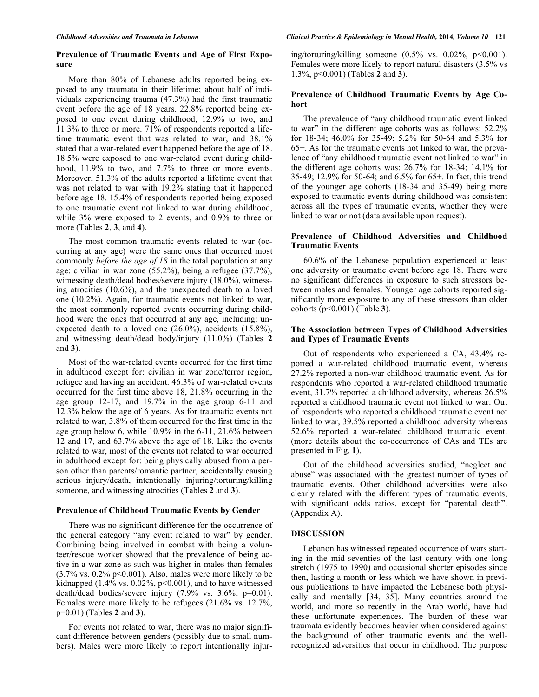# **Prevalence of Traumatic Events and Age of First Exposure**

More than 80% of Lebanese adults reported being exposed to any traumata in their lifetime; about half of individuals experiencing trauma (47.3%) had the first traumatic event before the age of 18 years. 22.8% reported being exposed to one event during childhood, 12.9% to two, and 11.3% to three or more. 71% of respondents reported a lifetime traumatic event that was related to war, and 38.1% stated that a war-related event happened before the age of 18. 18.5% were exposed to one war-related event during childhood, 11.9% to two, and 7.7% to three or more events. Moreover, 51.3% of the adults reported a lifetime event that was not related to war with 19.2% stating that it happened before age 18. 15.4% of respondents reported being exposed to one traumatic event not linked to war during childhood, while 3% were exposed to 2 events, and 0.9% to three or more (Tables **2**, **3**, and **4**).

The most common traumatic events related to war (occurring at any age) were the same ones that occurred most commonly *before the age of 18* in the total population at any age: civilian in war zone (55.2%), being a refugee (37.7%), witnessing death/dead bodies/severe injury (18.0%), witnessing atrocities (10.6%), and the unexpected death to a loved one (10.2%). Again, for traumatic events not linked to war, the most commonly reported events occurring during childhood were the ones that occurred at any age, including: unexpected death to a loved one (26.0%), accidents (15.8%), and witnessing death/dead body/injury (11.0%) (Tables **2** and **3**).

Most of the war-related events occurred for the first time in adulthood except for: civilian in war zone/terror region, refugee and having an accident. 46.3% of war-related events occurred for the first time above 18, 21.8% occurring in the age group 12-17, and 19.7% in the age group 6-11 and 12.3% below the age of 6 years. As for traumatic events not related to war, 3.8% of them occurred for the first time in the age group below 6, while 10.9% in the 6-11, 21.6% between 12 and 17, and 63.7% above the age of 18. Like the events related to war, most of the events not related to war occurred in adulthood except for: being physically abused from a person other than parents/romantic partner, accidentally causing serious injury/death, intentionally injuring/torturing/killing someone, and witnessing atrocities (Tables **2** and **3**).

### **Prevalence of Childhood Traumatic Events by Gender**

There was no significant difference for the occurrence of the general category "any event related to war" by gender. Combining being involved in combat with being a volunteer/rescue worker showed that the prevalence of being active in a war zone as such was higher in males than females  $(3.7\% \text{ vs. } 0.2\% \text{ p} < 0.001)$ . Also, males were more likely to be kidnapped (1.4% vs.  $0.02\%$ , p<0.001), and to have witnessed death/dead bodies/severe injury (7.9% vs. 3.6%, p=0.01). Females were more likely to be refugees (21.6% vs. 12.7%, p=0.01) (Tables **2** and **3**).

For events not related to war, there was no major significant difference between genders (possibly due to small numbers). Males were more likely to report intentionally injuring/torturing/killing someone  $(0.5\% \text{ vs. } 0.02\% \text{, } p<0.001)$ . Females were more likely to report natural disasters (3.5% vs 1.3%, p<0.001) (Tables **2** and **3**).

# **Prevalence of Childhood Traumatic Events by Age Cohort**

The prevalence of "any childhood traumatic event linked to war" in the different age cohorts was as follows: 52.2% for 18-34; 46.0% for 35-49; 5.2% for 50-64 and 5.3% for 65+. As for the traumatic events not linked to war, the prevalence of "any childhood traumatic event not linked to war" in the different age cohorts was: 26.7% for 18-34; 14.1% for 35-49; 12.9% for 50-64; and 6.5% for 65+. In fact, this trend of the younger age cohorts (18-34 and 35-49) being more exposed to traumatic events during childhood was consistent across all the types of traumatic events, whether they were linked to war or not (data available upon request).

# **Prevalence of Childhood Adversities and Childhood Traumatic Events**

60.6% of the Lebanese population experienced at least one adversity or traumatic event before age 18. There were no significant differences in exposure to such stressors between males and females. Younger age cohorts reported significantly more exposure to any of these stressors than older cohorts (p<0.001) (Table **3**).

# **The Association between Types of Childhood Adversities and Types of Traumatic Events**

Out of respondents who experienced a CA, 43.4% reported a war-related childhood traumatic event, whereas 27.2% reported a non-war childhood traumatic event. As for respondents who reported a war-related childhood traumatic event, 31.7% reported a childhood adversity, whereas 26.5% reported a childhood traumatic event not linked to war. Out of respondents who reported a childhood traumatic event not linked to war, 39.5% reported a childhood adversity whereas 52.6% reported a war-related childhood traumatic event. (more details about the co-occurrence of CAs and TEs are presented in Fig. **1**).

Out of the childhood adversities studied, "neglect and abuse" was associated with the greatest number of types of traumatic events. Other childhood adversities were also clearly related with the different types of traumatic events, with significant odds ratios, except for "parental death". (Appendix A).

### **DISCUSSION**

Lebanon has witnessed repeated occurrence of wars starting in the mid-seventies of the last century with one long stretch (1975 to 1990) and occasional shorter episodes since then, lasting a month or less which we have shown in previous publications to have impacted the Lebanese both physically and mentally [34, 35]. Many countries around the world, and more so recently in the Arab world, have had these unfortunate experiences. The burden of these war traumata evidently becomes heavier when considered against the background of other traumatic events and the wellrecognized adversities that occur in childhood. The purpose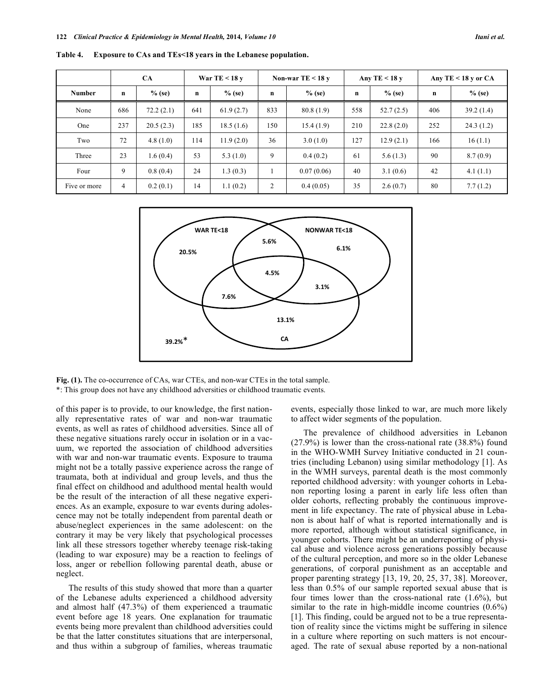|               | CA             |           | War TE < $18y$ |           | Non-war TE $<$ 18 y |            | Any TE $<$ 18 y |           | Any TE $<$ 18 y or CA |           |
|---------------|----------------|-----------|----------------|-----------|---------------------|------------|-----------------|-----------|-----------------------|-----------|
| <b>Number</b> | $\mathbf n$    | $%$ (se)  | $\mathbf n$    | $%$ (se)  | $\mathbf n$         | $%$ (se)   | n               | $%$ (se)  | $\mathbf n$           | $%$ (se)  |
| None          | 686            | 72.2(2.1) | 641            | 61.9(2.7) | 833                 | 80.8(1.9)  | 558             | 52.7(2.5) | 406                   | 39.2(1.4) |
| One           | 237            | 20.5(2.3) | 185            | 18.5(1.6) | 150                 | 15.4(1.9)  | 210             | 22.8(2.0) | 252                   | 24.3(1.2) |
| Two           | 72             | 4.8(1.0)  | 114            | 11.9(2.0) | 36                  | 3.0(1.0)   | 127             | 12.9(2.1) | 166                   | 16(1.1)   |
| Three         | 23             | 1.6(0.4)  | 53             | 5.3(1.0)  | 9                   | 0.4(0.2)   | 61              | 5.6(1.3)  | 90                    | 8.7(0.9)  |
| Four          | 9              | 0.8(0.4)  | 24             | 1.3(0.3)  |                     | 0.07(0.06) | 40              | 3.1(0.6)  | 42                    | 4.1(1.1)  |
| Five or more  | $\overline{4}$ | 0.2(0.1)  | 14             | 1.1(0.2)  | $\overline{2}$      | 0.4(0.05)  | 35              | 2.6(0.7)  | 80                    | 7.7(1.2)  |

**Table 4. Exposure to CAs and TEs<18 years in the Lebanese population.**



**Fig. (1).** The co-occurrence of CAs, war CTEs, and non-war CTEs in the total sample. \*: This group does not have any childhood adversities or childhood traumatic events.

of this paper is to provide, to our knowledge, the first nationally representative rates of war and non-war traumatic events, as well as rates of childhood adversities. Since all of these negative situations rarely occur in isolation or in a vacuum, we reported the association of childhood adversities with war and non-war traumatic events. Exposure to trauma might not be a totally passive experience across the range of traumata, both at individual and group levels, and thus the final effect on childhood and adulthood mental health would be the result of the interaction of all these negative experiences. As an example, exposure to war events during adolescence may not be totally independent from parental death or abuse/neglect experiences in the same adolescent: on the contrary it may be very likely that psychological processes link all these stressors together whereby teenage risk-taking (leading to war exposure) may be a reaction to feelings of loss, anger or rebellion following parental death, abuse or neglect.

The results of this study showed that more than a quarter of the Lebanese adults experienced a childhood adversity and almost half (47.3%) of them experienced a traumatic event before age 18 years. One explanation for traumatic events being more prevalent than childhood adversities could be that the latter constitutes situations that are interpersonal, and thus within a subgroup of families, whereas traumatic events, especially those linked to war, are much more likely to affect wider segments of the population.

The prevalence of childhood adversities in Lebanon (27.9%) is lower than the cross-national rate (38.8%) found in the WHO-WMH Survey Initiative conducted in 21 countries (including Lebanon) using similar methodology [1]. As in the WMH surveys, parental death is the most commonly reported childhood adversity: with younger cohorts in Lebanon reporting losing a parent in early life less often than older cohorts, reflecting probably the continuous improvement in life expectancy. The rate of physical abuse in Lebanon is about half of what is reported internationally and is more reported, although without statistical significance, in younger cohorts. There might be an underreporting of physical abuse and violence across generations possibly because of the cultural perception, and more so in the older Lebanese generations, of corporal punishment as an acceptable and proper parenting strategy [13, 19, 20, 25, 37, 38]. Moreover, less than 0.5% of our sample reported sexual abuse that is four times lower than the cross-national rate (1.6%), but similar to the rate in high-middle income countries (0.6%) [1]. This finding, could be argued not to be a true representation of reality since the victims might be suffering in silence in a culture where reporting on such matters is not encouraged. The rate of sexual abuse reported by a non-national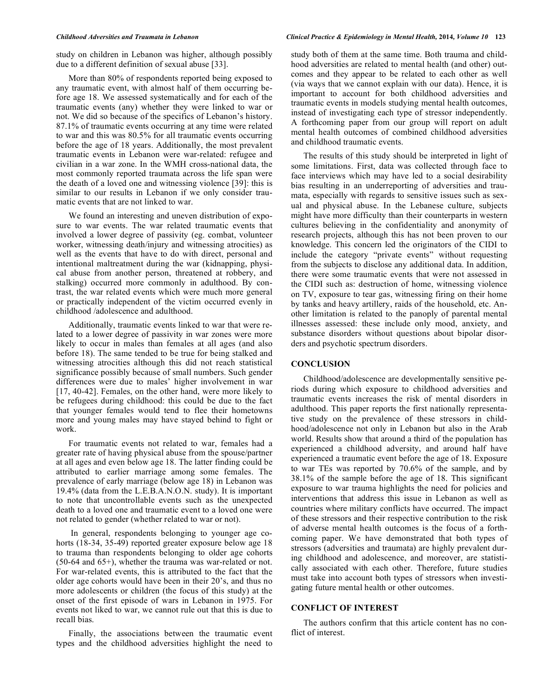study on children in Lebanon was higher, although possibly due to a different definition of sexual abuse [33].

More than 80% of respondents reported being exposed to any traumatic event, with almost half of them occurring before age 18. We assessed systematically and for each of the traumatic events (any) whether they were linked to war or not. We did so because of the specifics of Lebanon's history. 87.1% of traumatic events occurring at any time were related to war and this was 80.5% for all traumatic events occurring before the age of 18 years. Additionally, the most prevalent traumatic events in Lebanon were war-related: refugee and civilian in a war zone. In the WMH cross-national data, the most commonly reported traumata across the life span were the death of a loved one and witnessing violence [39]: this is similar to our results in Lebanon if we only consider traumatic events that are not linked to war.

We found an interesting and uneven distribution of exposure to war events. The war related traumatic events that involved a lower degree of passivity (eg. combat, volunteer worker, witnessing death/injury and witnessing atrocities) as well as the events that have to do with direct, personal and intentional maltreatment during the war (kidnapping, physical abuse from another person, threatened at robbery, and stalking) occurred more commonly in adulthood. By contrast, the war related events which were much more general or practically independent of the victim occurred evenly in childhood /adolescence and adulthood.

Additionally, traumatic events linked to war that were related to a lower degree of passivity in war zones were more likely to occur in males than females at all ages (and also before 18). The same tended to be true for being stalked and witnessing atrocities although this did not reach statistical significance possibly because of small numbers. Such gender differences were due to males' higher involvement in war [17, 40-42]. Females, on the other hand, were more likely to be refugees during childhood: this could be due to the fact that younger females would tend to flee their hometowns more and young males may have stayed behind to fight or work.

For traumatic events not related to war, females had a greater rate of having physical abuse from the spouse/partner at all ages and even below age 18. The latter finding could be attributed to earlier marriage among some females. The prevalence of early marriage (below age 18) in Lebanon was 19.4% (data from the L.E.B.A.N.O.N. study). It is important to note that uncontrollable events such as the unexpected death to a loved one and traumatic event to a loved one were not related to gender (whether related to war or not).

 In general, respondents belonging to younger age cohorts (18-34, 35-49) reported greater exposure below age 18 to trauma than respondents belonging to older age cohorts (50-64 and 65+), whether the trauma was war-related or not. For war-related events, this is attributed to the fact that the older age cohorts would have been in their 20's, and thus no more adolescents or children (the focus of this study) at the onset of the first episode of wars in Lebanon in 1975. For events not liked to war, we cannot rule out that this is due to recall bias.

Finally, the associations between the traumatic event types and the childhood adversities highlight the need to

### *Childhood Adversities and Traumata in Lebanon Clinical Practice & Epidemiology in Mental Health,* **2014***, Volume 10* **123**

study both of them at the same time. Both trauma and childhood adversities are related to mental health (and other) outcomes and they appear to be related to each other as well (via ways that we cannot explain with our data). Hence, it is important to account for both childhood adversities and traumatic events in models studying mental health outcomes, instead of investigating each type of stressor independently. A forthcoming paper from our group will report on adult mental health outcomes of combined childhood adversities and childhood traumatic events.

The results of this study should be interpreted in light of some limitations. First, data was collected through face to face interviews which may have led to a social desirability bias resulting in an underreporting of adversities and traumata, especially with regards to sensitive issues such as sexual and physical abuse. In the Lebanese culture, subjects might have more difficulty than their counterparts in western cultures believing in the confidentiality and anonymity of research projects, although this has not been proven to our knowledge. This concern led the originators of the CIDI to include the category "private events" without requesting from the subjects to disclose any additional data. In addition, there were some traumatic events that were not assessed in the CIDI such as: destruction of home, witnessing violence on TV, exposure to tear gas, witnessing firing on their home by tanks and heavy artillery, raids of the household, etc. Another limitation is related to the panoply of parental mental illnesses assessed: these include only mood, anxiety, and substance disorders without questions about bipolar disorders and psychotic spectrum disorders.

### **CONCLUSION**

Childhood/adolescence are developmentally sensitive periods during which exposure to childhood adversities and traumatic events increases the risk of mental disorders in adulthood. This paper reports the first nationally representative study on the prevalence of these stressors in childhood/adolescence not only in Lebanon but also in the Arab world. Results show that around a third of the population has experienced a childhood adversity, and around half have experienced a traumatic event before the age of 18. Exposure to war TEs was reported by 70.6% of the sample, and by 38.1% of the sample before the age of 18. This significant exposure to war trauma highlights the need for policies and interventions that address this issue in Lebanon as well as countries where military conflicts have occurred. The impact of these stressors and their respective contribution to the risk of adverse mental health outcomes is the focus of a forthcoming paper. We have demonstrated that both types of stressors (adversities and traumata) are highly prevalent during childhood and adolescence, and moreover, are statistically associated with each other. Therefore, future studies must take into account both types of stressors when investigating future mental health or other outcomes.

# **CONFLICT OF INTEREST**

The authors confirm that this article content has no conflict of interest.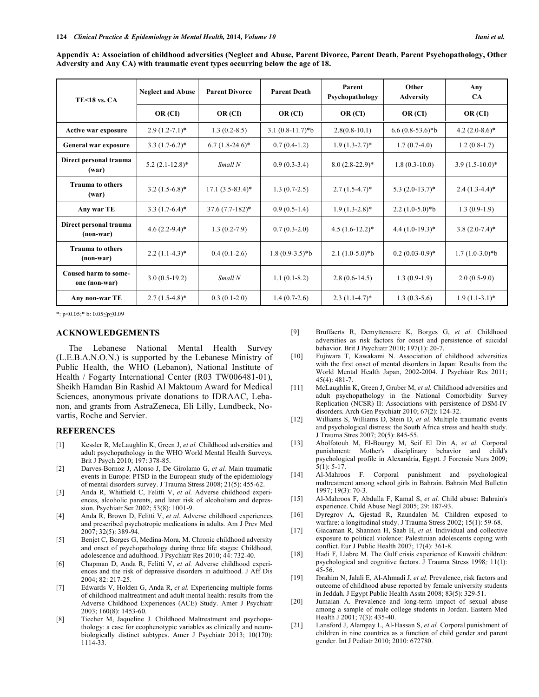| Appendix A: Association of childhood adversities (Neglect and Abuse, Parent Divorce, Parent Death, Parent Psychopathology, Other |  |
|----------------------------------------------------------------------------------------------------------------------------------|--|
| Adversity and Any CA) with traumatic event types occurring below the age of 18.                                                  |  |

| <b>TE&lt;18 vs. CA</b>                | <b>Neglect and Abuse</b> | <b>Parent Divorce</b> | <b>Parent Death</b> | Parent<br>Psychopathology | Other<br><b>Adversity</b> | Any<br><b>CA</b> |
|---------------------------------------|--------------------------|-----------------------|---------------------|---------------------------|---------------------------|------------------|
|                                       | OR (CI)                  | OR (CI)               | OR (CI)             | OR (CI)                   | OR (CI)                   | OR (CI)          |
| Active war exposure                   | $2.9(1.2-7.1)$ *         | $1.3(0.2-8.5)$        | $3.1(0.8-11.7)*b$   | $2.8(0.8-10.1)$           | $6.6(0.8-53.6)*b$         | $4.2(2.0-8.6)$ * |
| General war exposure                  | $3.3(1.7-6.2)^*$         | $6.7(1.8-24.6)^*$     | $0.7(0.4-1.2)$      | $1.9(1.3-2.7)$ *          | $1.7(0.7-4.0)$            | $1.2(0.8-1.7)$   |
| Direct personal trauma<br>(war)       | $5.2(2.1-12.8)$ *        | Small N               | $0.9(0.3-3.4)$      | $8.0(2.8-22.9)$ *         | $1.8(0.3-10.0)$           | $3.9(1.5-10.0)*$ |
| <b>Trauma to others</b><br>(war)      | $3.2(1.5-6.8)$ *         | $17.1 (3.5 - 83.4)^*$ | $1.3(0.7-2.5)$      | $2.7(1.5-4.7)^*$          | $5.3(2.0-13.7)$ *         | $2.4(1.3-4.4)*$  |
| Any war TE                            | $3.3(1.7-6.4)^*$         | $37.6(7.7-182)^*$     | $0.9(0.5-1.4)$      | $1.9(1.3-2.8)$ *          | $2.2(1.0-5.0)*b$          | $1.3(0.9-1.9)$   |
| Direct personal trauma<br>$(non-war)$ | $4.6(2.2-9.4)$ *         | $1.3(0.2-7.9)$        | $0.7(0.3-2.0)$      | $4.5(1.6-12.2)^*$         | $4.4(1.0-19.3)*$          | $3.8(2.0-7.4)$ * |
| <b>Trauma to others</b><br>(non-war)  | $2.2(1.1-4.3)^*$         | $0.4(0.1-2.6)$        | $1.8(0.9-3.5)*b$    | $2.1(1.0-5.0)*b$          | $0.2(0.03-0.9)*$          | $1.7(1.0-3.0)*b$ |
| Caused harm to some-<br>one (non-war) | $3.0(0.5-19.2)$          | Small N               | $1.1(0.1-8.2)$      | $2.8(0.6-14.5)$           | $1.3(0.9-1.9)$            | $2.0(0.5-9.0)$   |
| Any non-war TE                        | $2.7(1.5-4.8)$ *         | $0.3(0.1-2.0)$        | $1.4(0.7-2.6)$      | $2.3(1.1-4.7)$ *          | $1.3(0.3-5.6)$            | $1.9(1.1-3.1)^*$ |

\*:  $p<0.05;$ \* b:  $0.05 \le p \le 0.09$ 

### **ACKNOWLEDGEMENTS**

The Lebanese National Mental Health Survey (L.E.B.A.N.O.N.) is supported by the Lebanese Ministry of Public Health, the WHO (Lebanon), National Institute of Health / Fogarty International Center (R03 TW006481-01), Sheikh Hamdan Bin Rashid Al Maktoum Award for Medical Sciences, anonymous private donations to IDRAAC, Lebanon, and grants from AstraZeneca, Eli Lilly, Lundbeck, Novartis, Roche and Servier.

# **REFERENCES**

- [1] Kessler R, McLaughlin K, Green J, *et al.* Childhood adversities and adult psychopathology in the WHO World Mental Health Surveys. Brit J Psych 2010; 197: 378-85.
- [2] Darves-Bornoz J, Alonso J, De Girolamo G, *et al.* Main traumatic events in Europe: PTSD in the European study of the epidemiology of mental disorders survey. J Trauma Stress 2008; 21(5): 455-62.
- [3] Anda R, Whitfield C, Felitti V, *et al.* Adverse childhood experiences, alcoholic parents, and later risk of alcoholism and depression. Psychiatr Ser 2002; 53(8): 1001-9.
- [4] Anda R, Brown D, Felitti V, *et al.* Adverse childhood experiences and prescribed psychotropic medications in adults. Am J Prev Med 2007; 32(5): 389-94.
- [5] Benjet C, Borges G, Medina-Mora, M. Chronic childhood adversity and onset of psychopathology during three life stages: Childhood, adolescence and adulthood. J Psychiatr Res 2010; 44: 732-40.
- [6] Chapman D, Anda R, Felitti V, *et al.* Adverse childhood experiences and the risk of depressive disorders in adulthood. J Aff Dis 2004; 82: 217-25.
- [7] Edwards V, Holden G, Anda R, *et al.* Experiencing multiple forms of childhood maltreatment and adult mental health: results from the Adverse Childhood Experiences (ACE) Study. Amer J Psychiatr 2003; 160(8): 1453-60.
- [8] Tiecher M, Jaqueline J. Childhood Maltreatment and psychopathology: a case for ecophenotypic variables as clinically and neurobiologically distinct subtypes. Amer J Psychiatr 2013; 10(170): 1114-33.
- [9] Bruffaerts R, Demyttenaere K, Borges G, *et al.* Childhood adversities as risk factors for onset and persistence of suicidal behavior. Brit J Psychiatr 2010; 197(1): 20-7.
- [10] Fujiwara T, Kawakami N. Association of childhood adversities with the first onset of mental disorders in Japan: Results from the World Mental Health Japan, 2002-2004. J Psychiatr Res 2011; 45(4): 481-7.
- [11] McLaughlin K, Green J, Gruber M, *et al.* Childhood adversities and adult psychopathology in the National Comorbidity Survey Replication (NCSR) II: Associations with persistence of DSM-IV disorders. Arch Gen Psychiatr 2010; 67(2): 124-32.
- [12] Williams S, Williams D, Stein D, *et al.* Multiple traumatic events and psychological distress: the South Africa stress and health study. J Trauma Stres 2007; 20(5): 845-55.
- [13] Abolfotouh M, El-Bourgy M, Seif El Din A, *et al.* Corporal punishment: Mother's disciplinary behavior and child's psychological profile in Alexandria, Egypt. J Forensic Nurs 2009; 5(1): 5-17.
- [14] Al-Mahroos F. Corporal punishment and psychological maltreatment among school girls in Bahrain. Bahrain Med Bulletin 1997; 19(3): 70-3.
- [15] Al-Mahroos F, Abdulla F, Kamal S, *et al.* Child abuse: Bahrain's experience. Child Abuse Negl 2005; 29: 187-93.
- [16] Dyregrov A, Gjestad R, Raundalen M. Children exposed to warfare: a longitudinal study. J Trauma Stress 2002; 15(1): 59-68.
- [17] Giacaman R, Shannon H, Saab H, *et al.* Individual and collective exposure to political violence: Palestinian adolescents coping with conflict. Eur J Public Health 2007; 17(4): 361-8.
- [18] Hadi F, Llabre M. The Gulf crisis experience of Kuwaiti children: psychological and cognitive factors. J Trauma Stress 1998*;* 11(1): 45-56.
- [19] Ibrahim N, Jalali E, Al-Ahmadi J, *et al.* Prevalence, risk factors and outcome of childhood abuse reported by female university students in Jeddah. J Egypt Public Health Asstn 2008; 83(5): 329-51.
- [20] Jumaian A. Prevalence and long-term impact of sexual abuse among a sample of male college students in Jordan. Eastern Med Health J 2001; 7(3): 435-40.
- [21] Lansford J, Alampay L, Al-Hassan S, *et al.* Corporal punishment of children in nine countries as a function of child gender and parent gender. Int J Pediatr 2010; 2010: 672780.